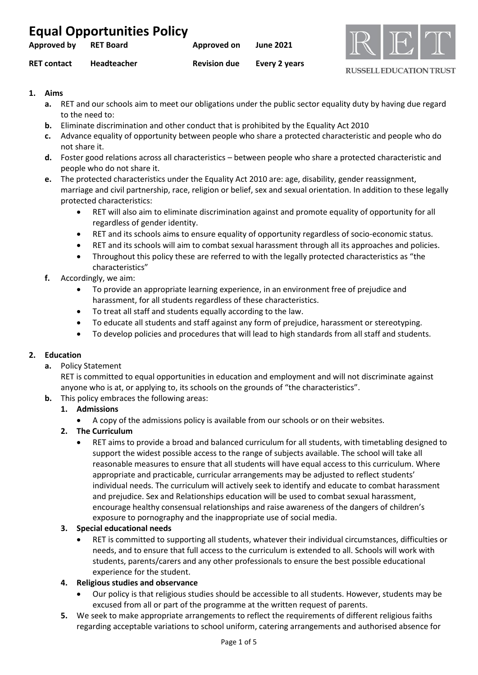| <b>Equal Opportunities Policy</b> |                    |                     |                  |
|-----------------------------------|--------------------|---------------------|------------------|
| Approved by                       | <b>RET Board</b>   | Approved on         | <b>June 2021</b> |
| <b>RET contact</b>                | <b>Headteacher</b> | <b>Revision due</b> | Every 2 years    |



# **1. Aims**

- **a.** RET and our schools aim to meet our obligations under the public sector equality duty by having due regard to the need to:
- **b.** Eliminate discrimination and other conduct that is prohibited by the Equality Act 2010
- **c.** Advance equality of opportunity between people who share a protected characteristic and people who do not share it.
- **d.** Foster good relations across all characteristics between people who share a protected characteristic and people who do not share it.
- **e.** The protected characteristics under the Equality Act 2010 are: age, disability, gender reassignment, marriage and civil partnership, race, religion or belief, sex and sexual orientation. In addition to these legally protected characteristics:
	- RET will also aim to eliminate discrimination against and promote equality of opportunity for all regardless of gender identity.
	- RET and its schools aims to ensure equality of opportunity regardless of socio-economic status.
	- RET and its schools will aim to combat sexual harassment through all its approaches and policies.
	- Throughout this policy these are referred to with the legally protected characteristics as "the characteristics"
- **f.** Accordingly, we aim:
	- To provide an appropriate learning experience, in an environment free of prejudice and harassment, for all students regardless of these characteristics.
	- To treat all staff and students equally according to the law.
	- To educate all students and staff against any form of prejudice, harassment or stereotyping.
	- To develop policies and procedures that will lead to high standards from all staff and students.

# **2. Education**

**a.** Policy Statement

RET is committed to equal opportunities in education and employment and will not discriminate against anyone who is at, or applying to, its schools on the grounds of "the characteristics".

**b.** This policy embraces the following areas:

## **1. Admissions**

- A copy of the admissions policy is available from our schools or on their websites.
- **2. The Curriculum** 
	- RET aims to provide a broad and balanced curriculum for all students, with timetabling designed to support the widest possible access to the range of subjects available. The school will take all reasonable measures to ensure that all students will have equal access to this curriculum. Where appropriate and practicable, curricular arrangements may be adjusted to reflect students' individual needs. The curriculum will actively seek to identify and educate to combat harassment and prejudice. Sex and Relationships education will be used to combat sexual harassment, encourage healthy consensual relationships and raise awareness of the dangers of children's exposure to pornography and the inappropriate use of social media.

# **3. Special educational needs**

• RET is committed to supporting all students, whatever their individual circumstances, difficulties or needs, and to ensure that full access to the curriculum is extended to all. Schools will work with students, parents/carers and any other professionals to ensure the best possible educational experience for the student.

# **4. Religious studies and observance**

- Our policy is that religious studies should be accessible to all students. However, students may be excused from all or part of the programme at the written request of parents.
- **5.** We seek to make appropriate arrangements to reflect the requirements of different religious faiths regarding acceptable variations to school uniform, catering arrangements and authorised absence for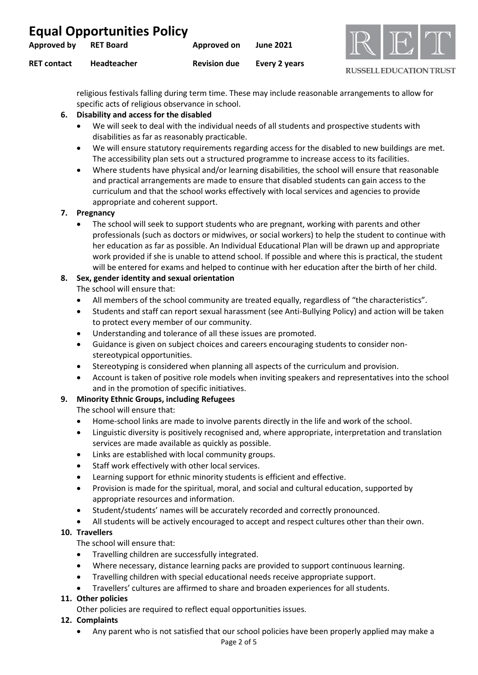| <b>Equal Opportunities Policy</b> |                    |                     |                  |
|-----------------------------------|--------------------|---------------------|------------------|
| Approved by                       | RET Board          | Approved on         | <b>June 2021</b> |
| <b>RET contact</b>                | <b>Headteacher</b> | <b>Revision due</b> | Every 2 years    |



religious festivals falling during term time. These may include reasonable arrangements to allow for specific acts of religious observance in school.

## **6. Disability and access for the disabled**

- We will seek to deal with the individual needs of all students and prospective students with disabilities as far as reasonably practicable.
- We will ensure statutory requirements regarding access for the disabled to new buildings are met. The accessibility plan sets out a structured programme to increase access to its facilities.
- Where students have physical and/or learning disabilities, the school will ensure that reasonable and practical arrangements are made to ensure that disabled students can gain access to the curriculum and that the school works effectively with local services and agencies to provide appropriate and coherent support.

## **7. Pregnancy**

• The school will seek to support students who are pregnant, working with parents and other professionals (such as doctors or midwives, or social workers) to help the student to continue with her education as far as possible. An Individual Educational Plan will be drawn up and appropriate work provided if she is unable to attend school. If possible and where this is practical, the student will be entered for exams and helped to continue with her education after the birth of her child.

# **8. Sex, gender identity and sexual orientation**

The school will ensure that:

- All members of the school community are treated equally, regardless of "the characteristics".
- Students and staff can report sexual harassment (see Anti-Bullying Policy) and action will be taken to protect every member of our community.
- Understanding and tolerance of all these issues are promoted.
- Guidance is given on subject choices and careers encouraging students to consider nonstereotypical opportunities.
- Stereotyping is considered when planning all aspects of the curriculum and provision.
- Account is taken of positive role models when inviting speakers and representatives into the school and in the promotion of specific initiatives.

# **9. Minority Ethnic Groups, including Refugees**

The school will ensure that:

- Home-school links are made to involve parents directly in the life and work of the school.
- Linguistic diversity is positively recognised and, where appropriate, interpretation and translation services are made available as quickly as possible.
- Links are established with local community groups.
- Staff work effectively with other local services.
- Learning support for ethnic minority students is efficient and effective.
- Provision is made for the spiritual, moral, and social and cultural education, supported by appropriate resources and information.
- Student/students' names will be accurately recorded and correctly pronounced.
- All students will be actively encouraged to accept and respect cultures other than their own.

# **10. Travellers**

The school will ensure that:

- Travelling children are successfully integrated.
- Where necessary, distance learning packs are provided to support continuous learning.
- Travelling children with special educational needs receive appropriate support.
- Travellers' cultures are affirmed to share and broaden experiences for all students.

## **11. Other policies**

Other policies are required to reflect equal opportunities issues.

## **12. Complaints**

• Any parent who is not satisfied that our school policies have been properly applied may make a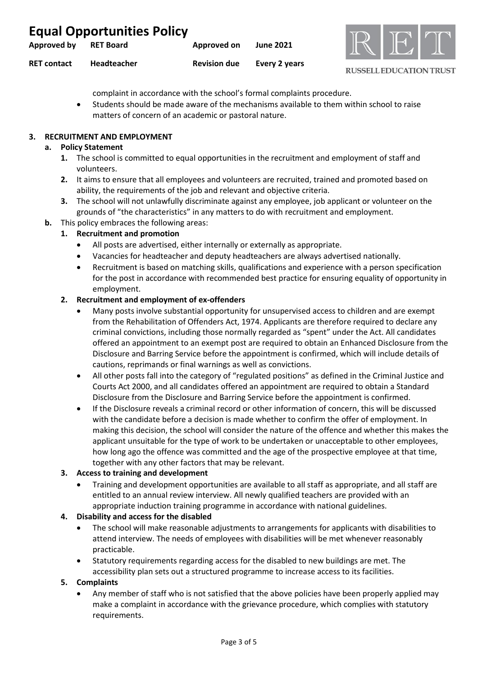| <b>Equal Opportunities Policy</b> |                  |                     |                  |
|-----------------------------------|------------------|---------------------|------------------|
| Approved by                       | <b>RET Board</b> | Approved on         | <b>June 2021</b> |
| <b>RET contact</b>                | Headteacher      | <b>Revision due</b> | Every 2 years    |



complaint in accordance with the school's formal complaints procedure.

• Students should be made aware of the mechanisms available to them within school to raise matters of concern of an academic or pastoral nature.

## **3. RECRUITMENT AND EMPLOYMENT**

## **a. Policy Statement**

- **1.** The school is committed to equal opportunities in the recruitment and employment of staff and volunteers.
- **2.** It aims to ensure that all employees and volunteers are recruited, trained and promoted based on ability, the requirements of the job and relevant and objective criteria.
- **3.** The school will not unlawfully discriminate against any employee, job applicant or volunteer on the grounds of "the characteristics" in any matters to do with recruitment and employment.
- **b.** This policy embraces the following areas:

## **1. Recruitment and promotion**

- All posts are advertised, either internally or externally as appropriate.
- Vacancies for headteacher and deputy headteachers are always advertised nationally.
- Recruitment is based on matching skills, qualifications and experience with a person specification for the post in accordance with recommended best practice for ensuring equality of opportunity in employment.

## **2. Recruitment and employment of ex-offenders**

- Many posts involve substantial opportunity for unsupervised access to children and are exempt from the Rehabilitation of Offenders Act, 1974. Applicants are therefore required to declare any criminal convictions, including those normally regarded as "spent" under the Act. All candidates offered an appointment to an exempt post are required to obtain an Enhanced Disclosure from the Disclosure and Barring Service before the appointment is confirmed, which will include details of cautions, reprimands or final warnings as well as convictions.
- All other posts fall into the category of "regulated positions" as defined in the Criminal Justice and Courts Act 2000, and all candidates offered an appointment are required to obtain a Standard Disclosure from the Disclosure and Barring Service before the appointment is confirmed.
- If the Disclosure reveals a criminal record or other information of concern, this will be discussed with the candidate before a decision is made whether to confirm the offer of employment. In making this decision, the school will consider the nature of the offence and whether this makes the applicant unsuitable for the type of work to be undertaken or unacceptable to other employees, how long ago the offence was committed and the age of the prospective employee at that time, together with any other factors that may be relevant.

## **3. Access to training and development**

• Training and development opportunities are available to all staff as appropriate, and all staff are entitled to an annual review interview. All newly qualified teachers are provided with an appropriate induction training programme in accordance with national guidelines.

## **4. Disability and access for the disabled**

- The school will make reasonable adjustments to arrangements for applicants with disabilities to attend interview. The needs of employees with disabilities will be met whenever reasonably practicable.
- Statutory requirements regarding access for the disabled to new buildings are met. The accessibility plan sets out a structured programme to increase access to its facilities.

## **5. Complaints**

• Any member of staff who is not satisfied that the above policies have been properly applied may make a complaint in accordance with the grievance procedure, which complies with statutory requirements.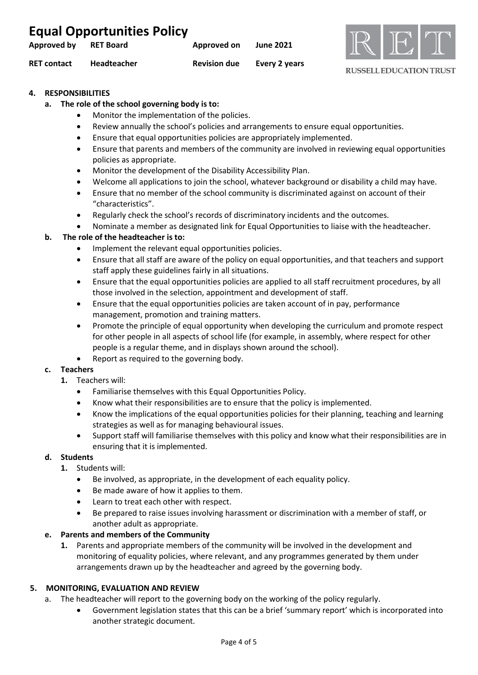| <b>Equal Opportunities Policy</b> |                  |                     |                  |
|-----------------------------------|------------------|---------------------|------------------|
| Approved by                       | <b>RET Board</b> | Approved on         | <b>June 2021</b> |
| <b>RET contact</b>                | Headteacher      | <b>Revision due</b> | Every 2 years    |



## **4. RESPONSIBILITIES**

## **a. The role of the school governing body is to:**

- Monitor the implementation of the policies.
- Review annually the school's policies and arrangements to ensure equal opportunities.
- Ensure that equal opportunities policies are appropriately implemented.
- Ensure that parents and members of the community are involved in reviewing equal opportunities policies as appropriate.
- Monitor the development of the Disability Accessibility Plan.
- Welcome all applications to join the school, whatever background or disability a child may have.
- Ensure that no member of the school community is discriminated against on account of their "characteristics".
- Regularly check the school's records of discriminatory incidents and the outcomes.
- Nominate a member as designated link for Equal Opportunities to liaise with the headteacher.

## **b. The role of the headteacher is to:**

- Implement the relevant equal opportunities policies.
- Ensure that all staff are aware of the policy on equal opportunities, and that teachers and support staff apply these guidelines fairly in all situations.
- Ensure that the equal opportunities policies are applied to all staff recruitment procedures, by all those involved in the selection, appointment and development of staff.
- Ensure that the equal opportunities policies are taken account of in pay, performance management, promotion and training matters.
- Promote the principle of equal opportunity when developing the curriculum and promote respect for other people in all aspects of school life (for example, in assembly, where respect for other people is a regular theme, and in displays shown around the school).
- Report as required to the governing body.

# **c. Teachers**

- **1.** Teachers will:
	- Familiarise themselves with this Equal Opportunities Policy.
	- Know what their responsibilities are to ensure that the policy is implemented.
	- Know the implications of the equal opportunities policies for their planning, teaching and learning strategies as well as for managing behavioural issues.
	- Support staff will familiarise themselves with this policy and know what their responsibilities are in ensuring that it is implemented.

## **d. Students**

- **1.** Students will:
	- Be involved, as appropriate, in the development of each equality policy.
	- Be made aware of how it applies to them.
	- Learn to treat each other with respect.
	- Be prepared to raise issues involving harassment or discrimination with a member of staff, or another adult as appropriate.

## **e. Parents and members of the Community**

**1.** Parents and appropriate members of the community will be involved in the development and monitoring of equality policies, where relevant, and any programmes generated by them under arrangements drawn up by the headteacher and agreed by the governing body.

## **5. MONITORING, EVALUATION AND REVIEW**

- a. The headteacher will report to the governing body on the working of the policy regularly.
	- Government legislation states that this can be a brief 'summary report' which is incorporated into another strategic document.